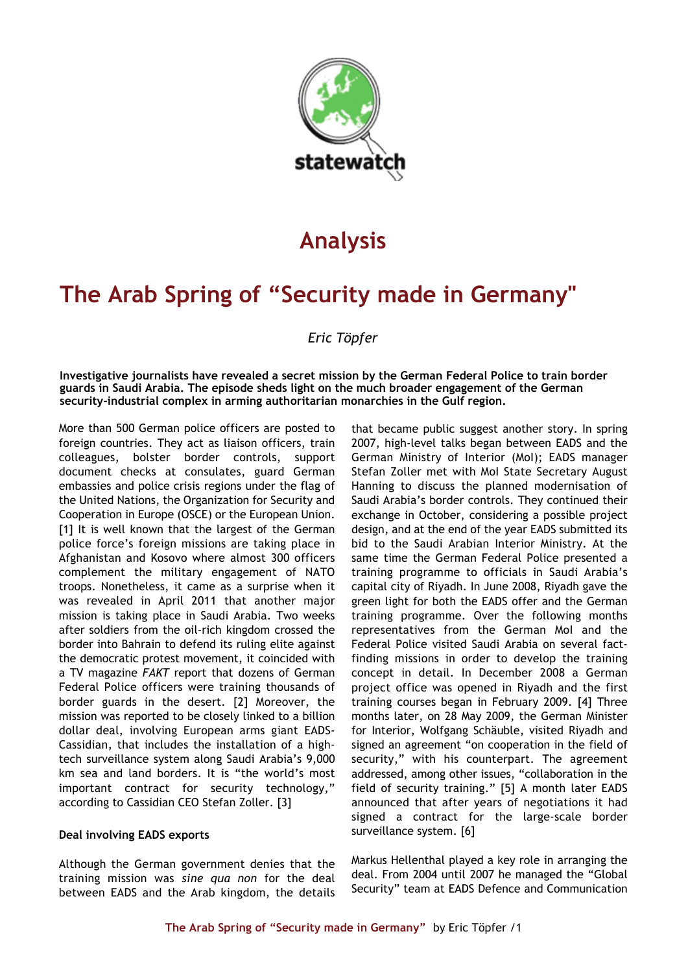

# **Analysis**

# **The Arab Spring of "Security made in Germany"**

### *Eric Töpfer*

**Investigative journalists have revealed a secret mission by the German Federal Police to train border guards in Saudi Arabia. The episode sheds light on the much broader engagement of the German security-industrial complex in arming authoritarian monarchies in the Gulf region.**

More than 500 German police officers are posted to foreign countries. They act as liaison officers, train colleagues, bolster border controls, support document checks at consulates, guard German embassies and police crisis regions under the flag of the United Nations, the Organization for Security and Cooperation in Europe (OSCE) or the European Union. [1] It is well known that the largest of the German police force's foreign missions are taking place in Afghanistan and Kosovo where almost 300 officers complement the military engagement of NATO troops. Nonetheless, it came as a surprise when it was revealed in April 2011 that another major mission is taking place in Saudi Arabia. Two weeks after soldiers from the oil-rich kingdom crossed the border into Bahrain to defend its ruling elite against the democratic protest movement, it coincided with a TV magazine *FAKT* report that dozens of German Federal Police officers were training thousands of border guards in the desert. [2] Moreover, the mission was reported to be closely linked to a billion dollar deal, involving European arms giant EADS-Cassidian, that includes the installation of a hightech surveillance system along Saudi Arabia's 9,000 km sea and land borders. It is "the world's most important contract for security technology," according to Cassidian CEO Stefan Zoller. [3]

#### **Deal involving EADS exports**

Although the German government denies that the training mission was *sine qua non* for the deal between EADS and the Arab kingdom, the details that became public suggest another story. In spring 2007, high-level talks began between EADS and the German Ministry of Interior (MoI); EADS manager Stefan Zoller met with MoI State Secretary August Hanning to discuss the planned modernisation of Saudi Arabia's border controls. They continued their exchange in October, considering a possible project design, and at the end of the year EADS submitted its bid to the Saudi Arabian Interior Ministry. At the same time the German Federal Police presented a training programme to officials in Saudi Arabia's capital city of Riyadh. In June 2008, Riyadh gave the green light for both the EADS offer and the German training programme. Over the following months representatives from the German MoI and the Federal Police visited Saudi Arabia on several factfinding missions in order to develop the training concept in detail. In December 2008 a German project office was opened in Riyadh and the first training courses began in February 2009. [4] Three months later, on 28 May 2009, the German Minister for Interior, Wolfgang Schäuble, visited Riyadh and signed an agreement "on cooperation in the field of security," with his counterpart. The agreement addressed, among other issues, "collaboration in the field of security training." [5] A month later EADS announced that after years of negotiations it had signed a contract for the large-scale border surveillance system. [6]

Markus Hellenthal played a key role in arranging the deal. From 2004 until 2007 he managed the "Global Security" team at EADS Defence and Communication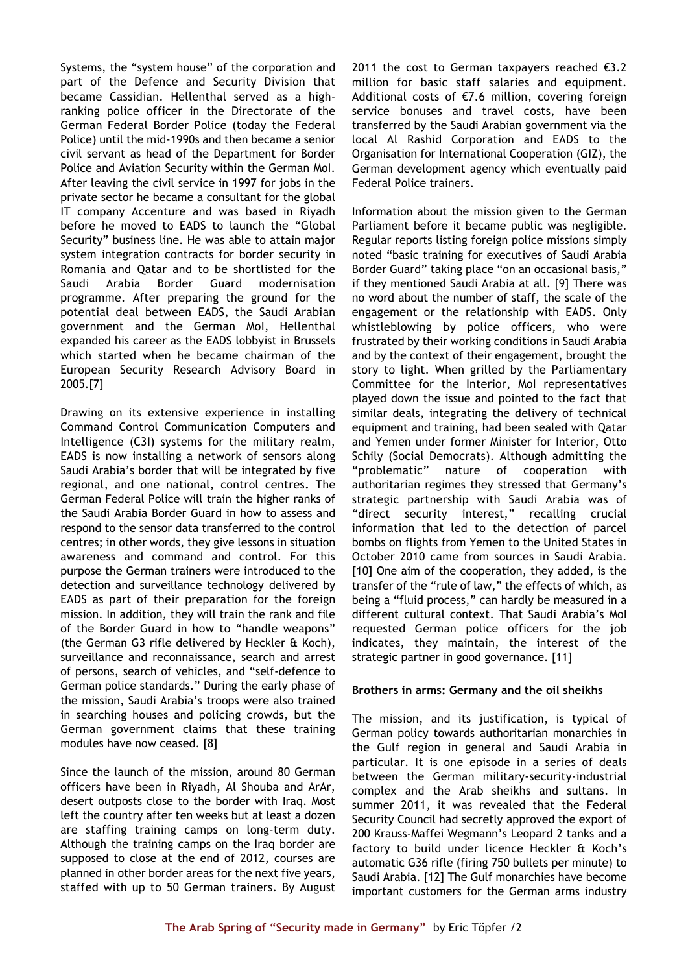Systems, the "system house" of the corporation and part of the Defence and Security Division that became Cassidian. Hellenthal served as a highranking police officer in the Directorate of the German Federal Border Police (today the Federal Police) until the mid-1990s and then became a senior civil servant as head of the Department for Border Police and Aviation Security within the German MoI. After leaving the civil service in 1997 for jobs in the private sector he became a consultant for the global IT company Accenture and was based in Riyadh before he moved to EADS to launch the "Global Security" business line. He was able to attain major system integration contracts for border security in Romania and Qatar and to be shortlisted for the Saudi Arabia Border Guard modernisation programme. After preparing the ground for the potential deal between EADS, the Saudi Arabian government and the German MoI, Hellenthal expanded his career as the EADS lobbyist in Brussels which started when he became chairman of the European Security Research Advisory Board in 2005.[7]

Drawing on its extensive experience in installing Command Control Communication Computers and Intelligence (C3I) systems for the military realm, EADS is now installing a network of sensors along Saudi Arabia's border that will be integrated by five regional, and one national, control centres**.** The German Federal Police will train the higher ranks of the Saudi Arabia Border Guard in how to assess and respond to the sensor data transferred to the control centres; in other words, they give lessons in situation awareness and command and control. For this purpose the German trainers were introduced to the detection and surveillance technology delivered by EADS as part of their preparation for the foreign mission. In addition, they will train the rank and file of the Border Guard in how to "handle weapons" (the German G3 rifle delivered by Heckler & Koch), surveillance and reconnaissance, search and arrest of persons, search of vehicles, and "self-defence to German police standards." During the early phase of the mission, Saudi Arabia's troops were also trained in searching houses and policing crowds, but the German government claims that these training modules have now ceased. [8]

Since the launch of the mission, around 80 German officers have been in Riyadh, Al Shouba and ArAr, desert outposts close to the border with Iraq. Most left the country after ten weeks but at least a dozen are staffing training camps on long-term duty. Although the training camps on the Iraq border are supposed to close at the end of 2012, courses are planned in other border areas for the next five years, staffed with up to 50 German trainers. By August

2011 the cost to German taxpayers reached €3.2 million for basic staff salaries and equipment. Additional costs of  $E$ 7.6 million, covering foreign service bonuses and travel costs, have been transferred by the Saudi Arabian government via the local Al Rashid Corporation and EADS to the Organisation for International Cooperation (GIZ), the German development agency which eventually paid Federal Police trainers.

Information about the mission given to the German Parliament before it became public was negligible. Regular reports listing foreign police missions simply noted "basic training for executives of Saudi Arabia Border Guard" taking place "on an occasional basis," if they mentioned Saudi Arabia at all. [9] There was no word about the number of staff, the scale of the engagement or the relationship with EADS. Only whistleblowing by police officers, who were frustrated by their working conditions in Saudi Arabia and by the context of their engagement, brought the story to light. When grilled by the Parliamentary Committee for the Interior, MoI representatives played down the issue and pointed to the fact that similar deals, integrating the delivery of technical equipment and training, had been sealed with Qatar and Yemen under former Minister for Interior, Otto Schily (Social Democrats). Although admitting the "problematic" nature of cooperation with authoritarian regimes they stressed that Germany's strategic partnership with Saudi Arabia was of "direct security interest," recalling crucial information that led to the detection of parcel bombs on flights from Yemen to the United States in October 2010 came from sources in Saudi Arabia. [10] One aim of the cooperation, they added, is the transfer of the "rule of law," the effects of which, as being a "fluid process," can hardly be measured in a different cultural context. That Saudi Arabia's MoI requested German police officers for the job indicates, they maintain, the interest of the strategic partner in good governance. [11]

#### **Brothers in arms: Germany and the oil sheikhs**

The mission, and its justification, is typical of German policy towards authoritarian monarchies in the Gulf region in general and Saudi Arabia in particular. It is one episode in a series of deals between the German military-security-industrial complex and the Arab sheikhs and sultans. In summer 2011, it was revealed that the Federal Security Council had secretly approved the export of 200 Krauss-Maffei Wegmann's Leopard 2 tanks and a factory to build under licence Heckler & Koch's automatic G36 rifle (firing 750 bullets per minute) to Saudi Arabia. [12] The Gulf monarchies have become important customers for the German arms industry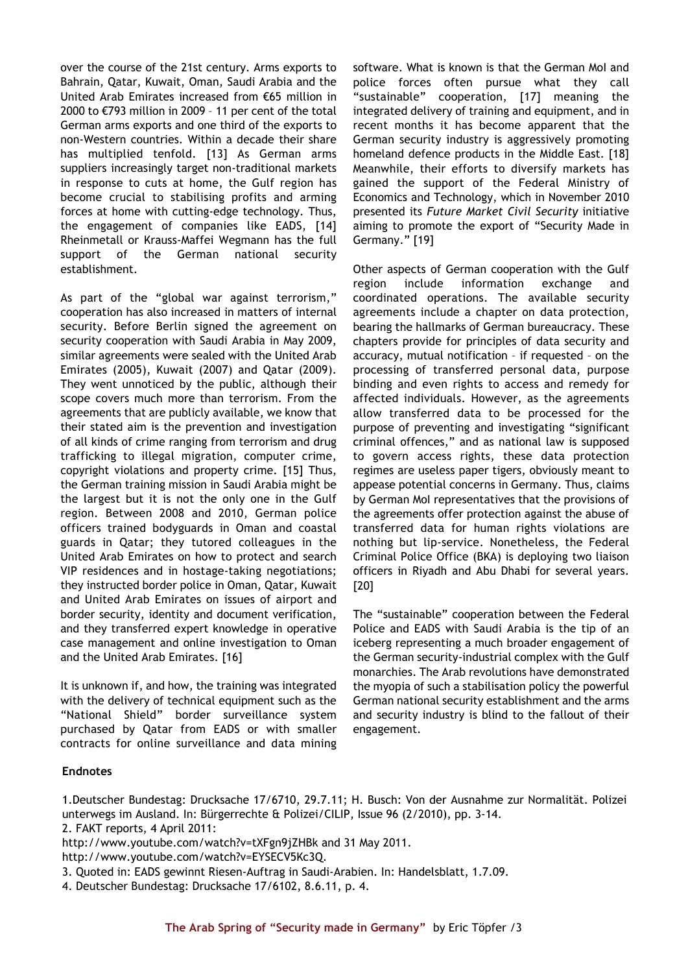over the course of the 21st century. Arms exports to Bahrain, Qatar, Kuwait, Oman, Saudi Arabia and the United Arab Emirates increased from €65 million in 2000 to €793 million in 2009 – 11 per cent of the total German arms exports and one third of the exports to non-Western countries. Within a decade their share has multiplied tenfold. [13] As German arms suppliers increasingly target non-traditional markets in response to cuts at home, the Gulf region has become crucial to stabilising profits and arming forces at home with cutting-edge technology. Thus, the engagement of companies like EADS, [14] Rheinmetall or Krauss-Maffei Wegmann has the full support of the German national security establishment.

As part of the "global war against terrorism," cooperation has also increased in matters of internal security. Before Berlin signed the agreement on security cooperation with Saudi Arabia in May 2009, similar agreements were sealed with the United Arab Emirates (2005), Kuwait (2007) and Qatar (2009). They went unnoticed by the public, although their scope covers much more than terrorism. From the agreements that are publicly available, we know that their stated aim is the prevention and investigation of all kinds of crime ranging from terrorism and drug trafficking to illegal migration, computer crime, copyright violations and property crime. [15] Thus, the German training mission in Saudi Arabia might be the largest but it is not the only one in the Gulf region. Between 2008 and 2010, German police officers trained bodyguards in Oman and coastal guards in Qatar; they tutored colleagues in the United Arab Emirates on how to protect and search VIP residences and in hostage-taking negotiations; they instructed border police in Oman, Qatar, Kuwait and United Arab Emirates on issues of airport and border security, identity and document verification, and they transferred expert knowledge in operative case management and online investigation to Oman and the United Arab Emirates. [16]

It is unknown if, and how, the training was integrated with the delivery of technical equipment such as the "National Shield" border surveillance system purchased by Qatar from EADS or with smaller contracts for online surveillance and data mining

software. What is known is that the German MoI and police forces often pursue what they call "sustainable" cooperation, [17] meaning the integrated delivery of training and equipment, and in recent months it has become apparent that the German security industry is aggressively promoting homeland defence products in the Middle East. [18] Meanwhile, their efforts to diversify markets has gained the support of the Federal Ministry of Economics and Technology, which in November 2010 presented its *Future Market Civil Security* initiative aiming to promote the export of "Security Made in Germany." [19]

Other aspects of German cooperation with the Gulf region include information exchange and coordinated operations. The available security agreements include a chapter on data protection, bearing the hallmarks of German bureaucracy. These chapters provide for principles of data security and accuracy, mutual notification – if requested – on the processing of transferred personal data, purpose binding and even rights to access and remedy for affected individuals. However, as the agreements allow transferred data to be processed for the purpose of preventing and investigating "significant criminal offences," and as national law is supposed to govern access rights, these data protection regimes are useless paper tigers, obviously meant to appease potential concerns in Germany. Thus, claims by German MoI representatives that the provisions of the agreements offer protection against the abuse of transferred data for human rights violations are nothing but lip-service. Nonetheless, the Federal Criminal Police Office (BKA) is deploying two liaison officers in Riyadh and Abu Dhabi for several years. [20]

The "sustainable" cooperation between the Federal Police and EADS with Saudi Arabia is the tip of an iceberg representing a much broader engagement of the German security-industrial complex with the Gulf monarchies. The Arab revolutions have demonstrated the myopia of such a stabilisation policy the powerful German national security establishment and the arms and security industry is blind to the fallout of their engagement.

### **Endnotes**

1.Deutscher Bundestag: Drucksache 17/6710, 29.7.11; H. Busch: Von der Ausnahme zur Normalität. Polizei unterwegs im Ausland. In: Bürgerrechte & Polizei/CILIP, Issue 96 (2/2010), pp. 3-14.

- http://www.youtube.com/watch?v=tXFgn9jZHBk and 31 May 2011.
- http://www.youtube.com/watch?v=EYSECV5Kc3Q.
- 3. Quoted in: EADS gewinnt Riesen-Auftrag in Saudi-Arabien. In: Handelsblatt, 1.7.09.
- 4. Deutscher Bundestag: Drucksache 17/6102, 8.6.11, p. 4.

<sup>2.</sup> FAKT reports, 4 April 2011: